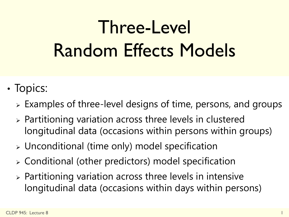# Three-Level Random Effects Models

- Topics:
	- $\triangleright$  Examples of three-level designs of time, persons, and groups
	- Partitioning variation across three levels in clustered longitudinal data (occasions within persons within groups)
	- Unconditional (time only) model specification
	- Conditional (other predictors) model specification
	- $\triangleright$  Partitioning variation across three levels in intensive longitudinal data (occasions within days within persons)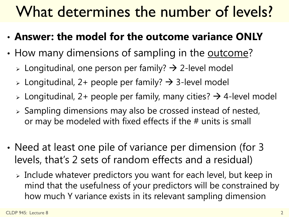## What determines the number of levels?

- **Answer: the model for the outcome variance ONLY**
- How many dimensions of sampling in the outcome?
	- $\triangleright$  Longitudinal, one person per family?  $\rightarrow$  2-level model
	- $\geq$  Longitudinal, 2+ people per family?  $\rightarrow$  3-level model
	- $\geq$  Longitudinal, 2+ people per family, many cities?  $\rightarrow$  4-level model
	- $\triangleright$  Sampling dimensions may also be crossed instead of nested, or may be modeled with fixed effects if the # units is small
- Need at least one pile of variance per dimension (for 3 levels, that's 2 sets of random effects and a residual)
	- Include whatever predictors you want for each level, but keep in mind that the usefulness of your predictors will be constrained by how much Y variance exists in its relevant sampling dimension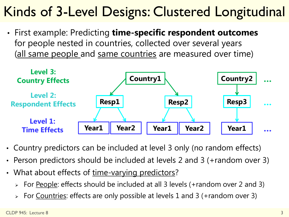### Kinds of 3-Level Designs: Clustered Longitudinal

• First example: Predicting **time-specific respondent outcomes**  for people nested in countries, collected over several years (all same people and same countries are measured over time)



- Country predictors can be included at level 3 only (no random effects)
- Person predictors should be included at levels 2 and 3 (+random over 3)
- What about effects of time-varying predictors?
	- $\triangleright$  For <u>People</u>: effects should be included at all 3 levels (+random over 2 and 3)
	- For Countries: effects are only possible at levels 1 and 3 (+random over 3)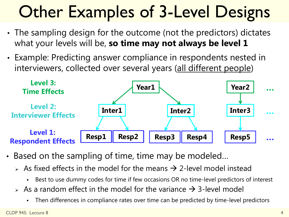# **Other Examples of 3-Level Designs**

- The sampling design for the outcome (not the predictors) dictates what your levels will be, **so time may not always be level 1**
- Example: Predicting answer compliance in respondents nested in interviewers, collected over several years (all different people)



- Based on the sampling of time, time may be modeled…
	- $\rightarrow$  As fixed effects in the model for the means  $\rightarrow$  2-level model instead
		- Best to use dummy codes for time if few occasions OR no time-level predictors of interest
	- As a random effect in the model for the variance  $\rightarrow$  3-level model
		- Then differences in compliance rates over time can be predicted by time-level predictors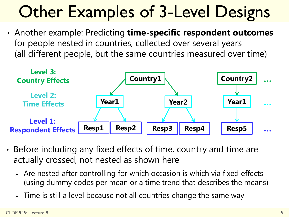# **Other Examples of 3-Level Designs**

• Another example: Predicting **time-specific respondent outcomes**  for people nested in countries, collected over several years (all different people, but the same countries measured over time)



- Before including any fixed effects of time, country and time are actually crossed, not nested as shown here
	- Are nested after controlling for which occasion is which via fixed effects (using dummy codes per mean or a time trend that describes the means)
	- $\triangleright$  Time is still a level because not all countries change the same way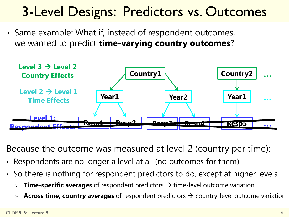### 3-Level Designs: Predictors vs. Outcomes

• Same example: What if, instead of respondent outcomes, we wanted to predict **time-varying country outcomes**?



Because the outcome was measured at level 2 (country per time):

- Respondents are no longer a level at all (no outcomes for them)
- So there is nothing for respondent predictors to do, except at higher levels
	- **Time-specific averages** of respondent predictors  $\rightarrow$  time-level outcome variation
	- **Across time, country averages** of respondent predictors  $\rightarrow$  country-level outcome variation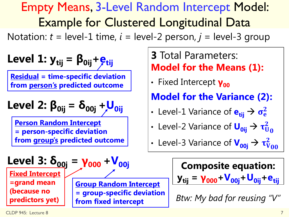#### Empty Means, 3-Level Random Intercept Model: Example for Clustered Longitudinal Data

Notation:  $t =$  level-1 time,  $i =$  level-2 person,  $j =$  level-3 group

| Level 1: $y_{tij} = \beta_{0ij} + \beta_{tij}$                                                                                                   | 3 Total Parameters:                                          |                                                   |
|--------------------------------------------------------------------------------------------------------------------------------------------------|--------------------------------------------------------------|---------------------------------------------------|
| Residual = time-specific deviation from person's predicted outcome from person's predicted outcome                                               | Fixed Intercept                                              |                                                   |
| Level 2: $\beta_{0ij} = \delta_{00j} + U_{0ij}$                                                                                                  | Model for the Variance (2):                                  |                                                   |
| Person Random Intercept = person-specific deviation from group's predicted outcome from group's predicted outcome from group's predicted outcome | Level-2 Variance of $U_{0ij} \rightarrow \tau_{U_{00}}^2$    |                                                   |
| Level 3: $\delta_{00j} = V_{000} + V_{00j}$                                                                                                      | Complete 3 Variance of $V_{00j} \rightarrow \tau_{V_{00}}^2$ |                                                   |
| Fixed Intercept = grand mean (because no<br>preditors yet)                                                                                       | Group Random Intercept                                       | $y_{tij} = V_{000} + V_{00j} + U_{0ij} + e_{tij}$ |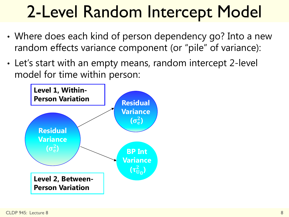# 2-Level Random Intercept Model

- Where does each kind of person dependency go? Into a new random effects variance component (or "pile" of variance):
- Let's start with an empty means, random intercept 2-level model for time within person:

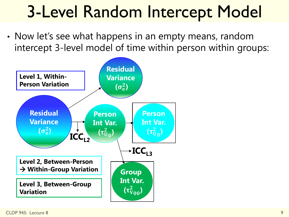# 3-Level Random Intercept Model

• Now let's see what happens in an empty means, random intercept 3-level model of time within person within groups:

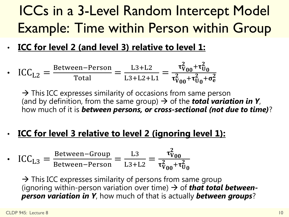### ICCs in a 3-Level Random Intercept Model Example: Time within Person within Group

#### • **ICC for level 2 (and level 3) relative to level 1:**

•  $ICC_{L2} =$ Between−Person Total = L3+L2 L3+L2+L1 =  $\tau_V^2$  $\frac{1}{00} + \tau_U^2$  $\overline{\mathbf{0}}$  $\overline{\tau_V^2}$  $_{00} + \tau_U^2$  $\sigma_0+\sigma_{\rm e}^2$ 

 $\rightarrow$  This ICC expresses similarity of occasions from same person (and by definition, from the same group)  $\rightarrow$  of the **total variation in Y**, how much of it is *between persons, or cross-sectional (not due to time)*?

• **ICC for level 3 relative to level 2 (ignoring level 1):**

• 
$$
\text{ICC}_{\text{L3}} = \frac{\text{Between-Group}}{\text{Between-Person}} = \frac{\text{L3}}{\text{L3+L2}} = \frac{\tau_{V_{00}}^2}{\tau_{V_{00}}^2 + \tau_{U_0}^2}
$$

 $\rightarrow$  This ICC expresses similarity of persons from same group (ignoring within-person variation over time)  $\rightarrow$  of **that total between***person variation in Y*, how much of that is actually *between groups*?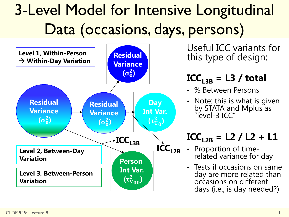## 3-Level Model for Intensive Longitudinal Data (occasions, days, persons)



Useful ICC variants for this type of design:

#### $\text{ICC}_{13B} = \text{L3}$  / total

- % Between Persons
- Note: this is what is given by STATA and Mplus as "level-3 ICC"

#### $ICC_{L2B} = L2 / L2 + L1$

- Proportion of timerelated variance for day
- Tests if occasions on same day are more related than occasions on different days (i.e., is day needed?)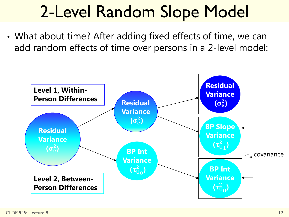# 2-Level Random Slope Model

• What about time? After adding fixed effects of time, we can add random effects of time over persons in a 2-level model:

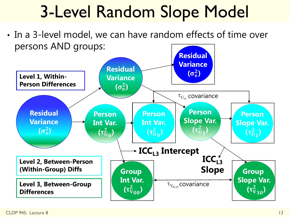# 3-Level Random Slope Model

• In a 3-level model, we can have random effects of time over persons AND groups:

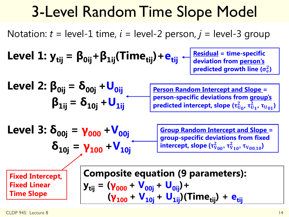### 3-Level Random Time Slope Model

Notation:  $t =$  level-1 time,  $i =$  level-2 person,  $j =$  level-3 group

Level 1: 
$$
y_{tij} = \beta_{0ij} + \beta_{1ij} (Time_{tij}) + e_{tij} + \beta_{\text{deviation from person's predicted growth line } (\sigma_e^2)}
$$

| Level 2: $\beta_{0ij} = \delta_{00j} + U_{0ij}$ | Person Random Intercept and Slope = person-specific deviations from group's<br>predictions from group's predicted intercept, slope $(\tau_{U_0}^2, \tau_{U_1}^2, \tau_{U_{01}})$ |
|-------------------------------------------------|----------------------------------------------------------------------------------------------------------------------------------------------------------------------------------|
|-------------------------------------------------|----------------------------------------------------------------------------------------------------------------------------------------------------------------------------------|

Level 3: 
$$
\delta_{00j} = \gamma_{000} + V_{00j}
$$

\n $\delta_{10j} = \gamma_{100} + V_{10j}$ 

**Group Random Intercept and Slope = group-specific deviations from fixed intercept, slope (**  $_{00}$ ,  $\tau _{\rm V}^2$  $_{10}$ <sup>,</sup>  $\tau$ <sub>V<sub>00,10</sub>)</sub>

**Fixed Intercept, Fixed Linear Time Slope**

**Composite equation (9 parameters): y**<sub>tij</sub> = ( $\gamma_{000} + V_{00j} + U_{0ij}$ )+

 $(\gamma_{100} + V_{10i} + U_{1ii})(Time_{\text{tii}}) + e_{\text{tii}}$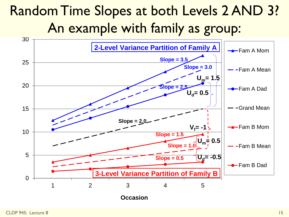### Random Time Slopes at both Levels 2 AND 3? An example with family as group:

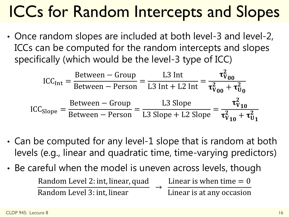# ICCs for Random Intercepts and Slopes

• Once random slopes are included at both level-3 and level-2, ICCs can be computed for the random intercepts and slopes specifically (which would be the level-3 type of ICC)

$$
ICC_{Int} = \frac{\text{Between} - \text{Group}}{\text{Between} - \text{Person}} = \frac{L3 \text{ Int}}{L3 \text{ Int} + L2 \text{ Int}} = \frac{\tau_{V_{00}}^2}{\tau_{V_{00}}^2 + \tau_{U_0}^2}
$$

$$
ICC_{Slope} = \frac{\text{Between} - \text{Group}}{\text{Between} - \text{Person}} = \frac{L3 \text{ Slope}}{L3 \text{ Slope} + L2 \text{ Slope}} = \frac{\tau_{V_{10}}^2}{\tau_{V_{10}}^2 + \tau_{U_1}^2}
$$

- Can be computed for any level-1 slope that is random at both levels (e.g., linear and quadratic time, time-varying predictors)
- Be careful when the model is uneven across levels, though Random Level 2: int, linear, quad Random Level 3: int, linear  $\rightarrow$ Linear is when time  $= 0$ Linear is at any occasion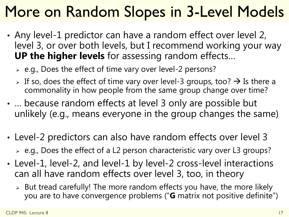## More on Random Slopes in 3-Level Models

- Any level-1 predictor can have a random effect over level 2, level 3, or over both levels, but I recommend working your way **UP the higher levels** for assessing random effects…
	- $\geq$  e.g., Does the effect of time vary over level-2 persons?
	- $\triangleright$  If so, does the effect of time vary over level-3 groups, too?  $\rightarrow$  Is there a commonality in how people from the same group change over time?
- … because random effects at level 3 only are possible but unlikely (e.g., means everyone in the group changes the same)
- Level-2 predictors can also have random effects over level 3 e.g., Does the effect of a L2 person characteristic vary over L3 groups?
- Level-1, level-2, and level-1 by level-2 cross-level interactions can all have random effects over level 3, too, in theory
	- $\geq$  But tread carefully! The more random effects you have, the more likely you are to have convergence problems ("**G** matrix not positive definite")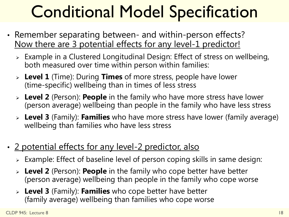# Conditional Model Specification

- Remember separating between- and within-person effects? Now there are 3 potential effects for any level-1 predictor!
	- Example in a Clustered Longitudinal Design: Effect of stress on wellbeing, both measured over time within person within families:
	- **Level 1** (Time): During **Times** of more stress, people have lower (time-specific) wellbeing than in times of less stress
	- **Level 2** (Person): **People** in the family who have more stress have lower (person average) wellbeing than people in the family who have less stress
	- **Level 3** (Family): **Families** who have more stress have lower (family average) wellbeing than families who have less stress
- 2 potential effects for any level-2 predictor, also
	- Example: Effect of baseline level of person coping skills in same design:
	- **Level 2** (Person): **People** in the family who cope better have better (person average) wellbeing than people in the family who cope worse
	- **Level 3** (Family): **Families** who cope better have better (family average) wellbeing than families who cope worse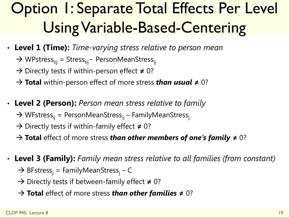## Option 1: Separate Total Effects Per Level Using Variable-Based-Centering

- **Level 1 (Time):** *Time-varying stress relative to person mean*
	- → WPstress<sub>tii</sub> = Stress<sub>tii</sub> PersonMeanStress<sub>ii</sub>
	- → Directly tests if within-person effect ≠ 0?
	- **Total** within-person effect of more stress *than usual* **≠** 0?
- **Level 2 (Person):** *Person mean stress relative to family*
	- $\rightarrow$  WFstress<sub>ii</sub> = PersonMeanStress<sub>ii</sub> FamilyMeanStress<sub>i</sub>
	- → Directly tests if within-family effect ≠ 0?
	- **Total** effect of more stress *than other members of one's family* **≠** 0?
- **Level 3 (Family):** *Family mean stress relative to all families (from constant)*
	- $\rightarrow$  BFstress<sub>i</sub> = FamilyMeanStress<sub>i</sub> C
	- → Directly tests if between-family effect ≠ 0?
	- **Total** effect of more stress *than other families* **≠** 0?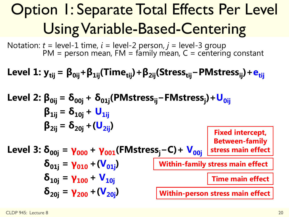## Option 1: Separate Total Effects Per Level Using Variable-Based-Centering

Notation:  $t =$  level-1 time,  $i =$  level-2 person,  $j =$  level-3 group  $PM =$  person mean,  $FM =$  family mean,  $C =$  centering constant

**Level 1:**  $y_{tij} = \beta_{0ij} + \beta_{1ij}$ (Time<sub>tij</sub>) +  $\beta_{2ij}$ (Stress<sub>tij</sub> − PMstress<sub>ij</sub>) +  $e_{tii}$ 

**Level 2: β0ij = δ00j + δ01j(PMstressij−FMstress<sup>j</sup> )+U0ij**  $\beta_{1ii} = \delta_{10i} + U_{1ii}$  $\beta_{2ii} = \delta_{20i} + (\mathbf{U}_{2ii})$ **Level 3:**  $\delta_{00j} = \gamma_{000} + \gamma_{001}$ (FMstress<sub>i</sub>−C) +  $V_{00j}$  $\delta_{01j} = \gamma_{010} + (\mathbf{V}_{01j})$  $\delta_{10j} = \gamma_{100} + \mathsf{V}_{10j}$  $\delta_{20j} = \gamma_{200} + (\mathbf{V}_{20j})$ **Fixed intercept, Between-family stress main effect Within-family stress main effect Time main effect Within-person stress main effect**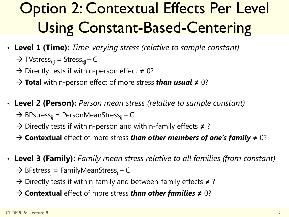## **Option 2: Contextual Effects Per Level** Using Constant-Based-Centering

- **Level 1 (Time):** *Time-varying stress (relative to sample constant)*
	- $\rightarrow$  TVstress<sub>tij</sub> = Stress<sub>tij</sub> C
	- → Directly tests if within-person effect ≠ 0?
	- **Total** within-person effect of more stress *than usual* **≠** 0?
- **Level 2 (Person):** *Person mean stress (relative to sample constant)*
	- $\rightarrow$  BPstress<sub>ii</sub> = PersonMeanStress<sub>ij</sub> C
	- Directly tests if within-person and within-family effects **≠** ?
	- **Contextual** effect of more stress *than other members of one's family* **≠** 0?
- **Level 3 (Family):** *Family mean stress relative to all families (from constant)*
	- $\rightarrow$  BFstress<sub>i</sub> = FamilyMeanStress<sub>i</sub> C
	- Directly tests if within-family and between-family effects **≠** ?
	- **Contextual** effect of more stress *than other families* **≠** 0?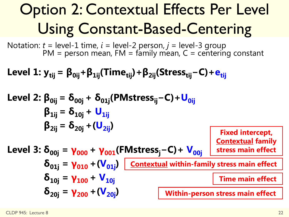## **Option 2: Contextual Effects Per Level** Using Constant-Based-Centering

Notation:  $t =$  level-1 time,  $i =$  level-2 person,  $j =$  level-3 group PM = person mean, FM = family mean, C = centering constant

Level 1: 
$$
y_{tij} = \beta_{0ij} + \beta_{1ij}(Time_{tij}) + \beta_{2ij}(Stress_{tij} - C) + e_{tij}
$$

Level 2: 
$$
\beta_{0ij} = \delta_{00j} + \delta_{01j}(PMstress_{ij} - C) + U_{0ij}
$$

\n $\beta_{1ij} = \delta_{10j} + U_{1ij}$ 

\n $\beta_{2ij} = \delta_{20j} + (U_{2ij})$ 

\nLevel 3:  $\delta_{00j} = \gamma_{000} + \gamma_{001}(FMstress_{j} - C) + V_{00j}$ 

\nFixed intercept,  $\delta_{01j} = \gamma_{010} + (V_{01j})$ 

\nContextual family stress main effect

\n $\delta_{10j} = \gamma_{100} + V_{10j}$ 

\nTime main effect

\n $\delta_{20j} = \gamma_{200} + (V_{20j})$ 

\nWithin-person stress main effect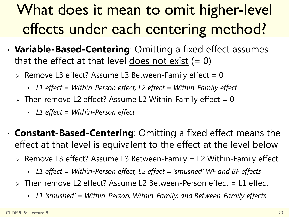## What does it mean to omit higher-level effects under each centering method?

- **Variable-Based-Centering**: Omitting a fixed effect assumes that the effect at that level does not exist  $(= 0)$ 
	- $\ge$  Remove L3 effect? Assume L3 Between-Family effect = 0
		- *L1 effect = Within-Person effect, L2 effect = Within-Family effect*
	- $\ge$  Then remove L2 effect? Assume L2 Within-Family effect = 0
		- *L1 effect = Within-Person effect*
- **Constant-Based-Centering**: Omitting a fixed effect means the effect at that level is equivalent to the effect at the level below
	- $\ge$  Remove L3 effect? Assume L3 Between-Family = L2 Within-Family effect
		- *L1 effect = Within-Person effect, L2 effect = 'smushed' WF and BF effects*
	- $\triangleright$  Then remove L2 effect? Assume L2 Between-Person effect = L1 effect
		- *L1 'smushed' = Within-Person, Within-Family, and Between-Family effects*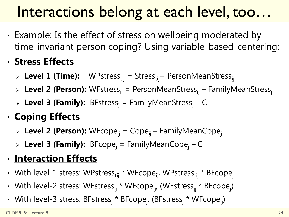## Interactions belong at each level, too…

• Example: Is the effect of stress on wellbeing moderated by time-invariant person coping? Using variable-based-centering:

#### • **Stress Effects**

- > Level 1 (Time): WPstress<sub>tij</sub> = Stress<sub>tij</sub>− PersonMeanStress<sub>ij</sub>
- > Level 2 (Person): WFstress<sub>ii</sub> = PersonMeanStress<sub>ii</sub> FamilyMeanStress<sub>i</sub>
- **Level 3 (Family):** BFstress<sub>i</sub> = FamilyMeanStress<sub>i</sub> C

#### • **Coping Effects**

- **Level 2 (Person):** WFcope<sub>ii</sub> = Cope<sub>ii</sub> FamilyMeanCope<sub>i</sub>
- > Level 3 (Family): BFcope<sub>i</sub> = FamilyMeanCope<sub>i</sub> C

#### • **Interaction Effects**

- With level-1 stress: WPstress<sub>tij</sub> \* WFcope<sub>ij</sub>, WPstress<sub>tij</sub> \* BFcope<sub>j</sub>
- With level-2 stress: WFstress<sub>ij</sub> \* WFcope<sub>ij</sub>, (WFstress<sub>ij</sub> \* BFcope<sub>j</sub>)
- With level-3 stress: BFstress<sub>i</sub> \* BFcope<sub>j</sub>, (BFstress<sub>i</sub> \* WFcope<sub>ij</sub>)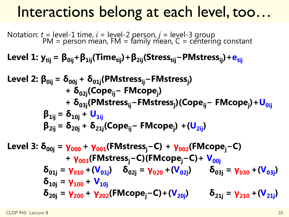### Interactions belong at each level, too…

Notation: *t* = level-1 time, *i* = level-2 person, *j* = level-3 group  $PM =$  person mean,  $FM =$  family mean,  $C =$  centering constant

**Level 1:**  $y_{\text{tij}} = \beta_{\text{0ij}} + \beta_{\text{1ij}}$ (Time<sub>tij</sub>) +  $\beta_{\text{2ij}}$ (Stress<sub>tij</sub> − PMstress<sub>ij</sub>) +  $e_{\text{tij}}$ 

Level 2: 
$$
\beta_{0ij} = \delta_{00j} + \delta_{01j}(\text{PMstress}_{ij} - \text{FMstress}_{j}) + \delta_{02j}(\text{Cope}_{ij} - \text{FMcope}_{j}) + \delta_{03j}(\text{PMstress}_{ij} - \text{FMstress}_{j})(\text{Cope}_{ij} - \text{FMcope}_{j}) + U_{0ij}
$$

\n $\beta_{1ij} = \delta_{10j} + U_{1ij}$ 

\n $\beta_{2ij} = \delta_{20j} + \delta_{21j}(\text{Cope}_{ij} - \text{FMcope}_{j}) + (U_{2ij})$ 

Level 3: 
$$
\delta_{00j} = \gamma_{000} + \gamma_{001}(\text{FMstress}_j - C) + \gamma_{002}(\text{FMcope}_j - C)
$$

\n $+ \gamma_{003}(\text{FMstress}_j - C)(\text{FMcope}_j - C) + \gamma_{00j}(\text{FMS} - C) + \gamma_{00j}(\text{FMS} - C) + \gamma_{00j}(\text{FMS} - C) + \gamma_{00j}(\text{FMS} - C) + \gamma_{00j}(\text{FMS} - C) + \gamma_{00j}(\text{FMS} - C) + \gamma_{00j}(\text{FMS} - C) + \gamma_{00j}(\text{FMS} - C) + \gamma_{00j}(\text{FMS} - C) + \gamma_{00j}(\text{FMS} - C) + \gamma_{00j}(\text{FMS} - C) + \gamma_{00j}(\text{FMS} - C) + \gamma_{00j}(\text{FMS} - C) + \gamma_{00j}(\text{FMS} - C) + \gamma_{00j}(\text{FMS} - C) + \gamma_{00j}(\text{FMS} - C) + \gamma_{00j}(\text{FMS} - C) + \gamma_{00j}(\text{FMS} - C) + \gamma_{00j}(\text{FMS} - C) + \gamma_{00j}(\text{FMS} - C) + \gamma_{00j}(\text{FMS} - C) + \gamma_{00j}(\text{FMS} - C) + \gamma_{00j}(\text{FMS} - C) + \gamma_{00j}(\text{FMS} - C) + \gamma_{00j}(\text{FMS} - C) + \gamma_{00j}(\text{FMS} - C) + \gamma_{00j}(\text{FMS} - C) + \gamma_{00j}(\text{FMS} - C) + \gamma_{00j}(\text{FMS} - C) + \gamma_{00j}(\text{FMS} - C) + \gamma_{00j}(\text{FMS} - C) + \gamma_{00j}(\text{FMS} - C) + \gamma_{00j}(\text{FMS} - C) + \gamma_{00j}(\text{FMS} - C) + \gamma_{00j}(\text{FMS} - C) + \gamma_{00j}(\text{FMS} - C) + \gamma_{00j}(\text{FMS} - C) + \gamma_{00j}(\text{FMS} - C) + \gamma_{00j}(\text{FMS} - C)$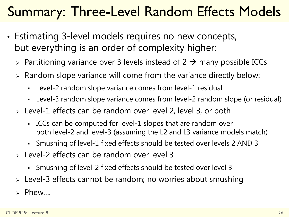### Summary: Three-Level Random Effects Models

- Estimating 3-level models requires no new concepts, but everything is an order of complexity higher:
	- $\triangleright$  Partitioning variance over 3 levels instead of 2  $\rightarrow$  many possible ICCs
	- $\triangleright$  Random slope variance will come from the variance directly below:
		- Level-2 random slope variance comes from level-1 residual
		- Level-3 random slope variance comes from level-2 random slope (or residual)
	- Level-1 effects can be random over level 2, level 3, or both
		- ICCs can be computed for level-1 slopes that are random over both level-2 and level-3 (assuming the L2 and L3 variance models match)
		- Smushing of level-1 fixed effects should be tested over levels 2 AND 3
	- Level-2 effects can be random over level 3
		- Smushing of level-2 fixed effects should be tested over level 3
	- Level-3 effects cannot be random; no worries about smushing
	- Phew….